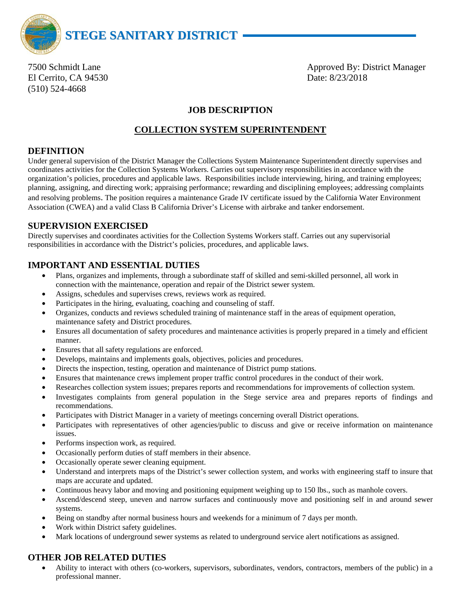

El Cerrito, CA 94530 Date: 8/23/2018 (510) 524-4668

7500 Schmidt Lane **Approved By: District Manager** Approved By: District Manager

## **JOB DESCRIPTION**

## **COLLECTION SYSTEM SUPERINTENDENT**

#### **DEFINITION**

Under general supervision of the District Manager the Collections System Maintenance Superintendent directly supervises and coordinates activities for the Collection Systems Workers. Carries out supervisory responsibilities in accordance with the organization's policies, procedures and applicable laws. Responsibilities include interviewing, hiring, and training employees; planning, assigning, and directing work; appraising performance; rewarding and disciplining employees; addressing complaints and resolving problems. The position requires a maintenance Grade IV certificate issued by the California Water Environment Association (CWEA) and a valid Class B California Driver's License with airbrake and tanker endorsement.

### **SUPERVISION EXERCISED**

Directly supervises and coordinates activities for the Collection Systems Workers staff. Carries out any supervisorial responsibilities in accordance with the District's policies, procedures, and applicable laws.

## **IMPORTANT AND ESSENTIAL DUTIES**

- Plans, organizes and implements, through a subordinate staff of skilled and semi-skilled personnel, all work in connection with the maintenance, operation and repair of the District sewer system.
- Assigns, schedules and supervises crews, reviews work as required.
- Participates in the hiring, evaluating, coaching and counseling of staff.
- Organizes, conducts and reviews scheduled training of maintenance staff in the areas of equipment operation, maintenance safety and District procedures.
- Ensures all documentation of safety procedures and maintenance activities is properly prepared in a timely and efficient manner.
- Ensures that all safety regulations are enforced.
- Develops, maintains and implements goals, objectives, policies and procedures.
- Directs the inspection, testing, operation and maintenance of District pump stations.
- Ensures that maintenance crews implement proper traffic control procedures in the conduct of their work.
- Researches collection system issues; prepares reports and recommendations for improvements of collection system.
- Investigates complaints from general population in the Stege service area and prepares reports of findings and recommendations.
- Participates with District Manager in a variety of meetings concerning overall District operations.
- Participates with representatives of other agencies/public to discuss and give or receive information on maintenance issues.
- Performs inspection work, as required.
- Occasionally perform duties of staff members in their absence.
- Occasionally operate sewer cleaning equipment.
- Understand and interprets maps of the District's sewer collection system, and works with engineering staff to insure that maps are accurate and updated.
- Continuous heavy labor and moving and positioning equipment weighing up to 150 lbs., such as manhole covers.
- Ascend/descend steep, uneven and narrow surfaces and continuously move and positioning self in and around sewer systems.
- Being on standby after normal business hours and weekends for a minimum of 7 days per month.
- Work within District safety guidelines.
- Mark locations of underground sewer systems as related to underground service alert notifications as assigned.

# **OTHER JOB RELATED DUTIES**

• Ability to interact with others (co-workers, supervisors, subordinates, vendors, contractors, members of the public) in a professional manner.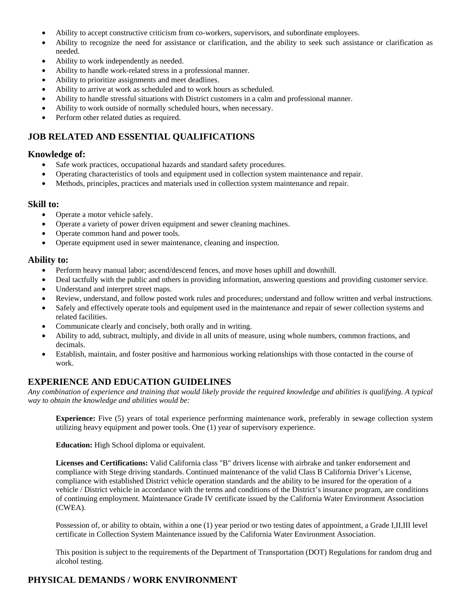- Ability to accept constructive criticism from co-workers, supervisors, and subordinate employees.
- Ability to recognize the need for assistance or clarification, and the ability to seek such assistance or clarification as needed.
- Ability to work independently as needed.
- Ability to handle work-related stress in a professional manner.
- Ability to prioritize assignments and meet deadlines.
- Ability to arrive at work as scheduled and to work hours as scheduled.
- Ability to handle stressful situations with District customers in a calm and professional manner.
- Ability to work outside of normally scheduled hours, when necessary.
- Perform other related duties as required.

# **JOB RELATED AND ESSENTIAL QUALIFICATIONS**

#### **Knowledge of:**

- Safe work practices, occupational hazards and standard safety procedures.
- Operating characteristics of tools and equipment used in collection system maintenance and repair.
- Methods, principles, practices and materials used in collection system maintenance and repair.

#### **Skill to:**

- Operate a motor vehicle safely.
- Operate a variety of power driven equipment and sewer cleaning machines.
- Operate common hand and power tools.
- Operate equipment used in sewer maintenance, cleaning and inspection.

#### **Ability to:**

- Perform heavy manual labor; ascend/descend fences, and move hoses uphill and downhill.
- Deal tactfully with the public and others in providing information, answering questions and providing customer service.
- Understand and interpret street maps.
- Review, understand, and follow posted work rules and procedures; understand and follow written and verbal instructions.
- Safely and effectively operate tools and equipment used in the maintenance and repair of sewer collection systems and related facilities.
- Communicate clearly and concisely, both orally and in writing.
- Ability to add, subtract, multiply, and divide in all units of measure, using whole numbers, common fractions, and decimals.
- Establish, maintain, and foster positive and harmonious working relationships with those contacted in the course of work.

### **EXPERIENCE AND EDUCATION GUIDELINES**

*Any combination of experience and training that would likely provide the required knowledge and abilities is qualifying. A typical way to obtain the knowledge and abilities would be:* 

**Experience:** Five (5) years of total experience performing maintenance work, preferably in sewage collection system utilizing heavy equipment and power tools. One (1) year of supervisory experience.

**Education:** High School diploma or equivalent.

**Licenses and Certifications:** Valid California class "B" drivers license with airbrake and tanker endorsement and compliance with Stege driving standards. Continued maintenance of the valid Class B California Driver's License, compliance with established District vehicle operation standards and the ability to be insured for the operation of a vehicle / District vehicle in accordance with the terms and conditions of the District's insurance program, are conditions of continuing employment. Maintenance Grade IV certificate issued by the California Water Environment Association (CWEA).

Possession of, or ability to obtain, within a one (1) year period or two testing dates of appointment, a Grade I,II,III level certificate in Collection System Maintenance issued by the California Water Environment Association.

This position is subject to the requirements of the Department of Transportation (DOT) Regulations for random drug and alcohol testing.

### **PHYSICAL DEMANDS / WORK ENVIRONMENT**